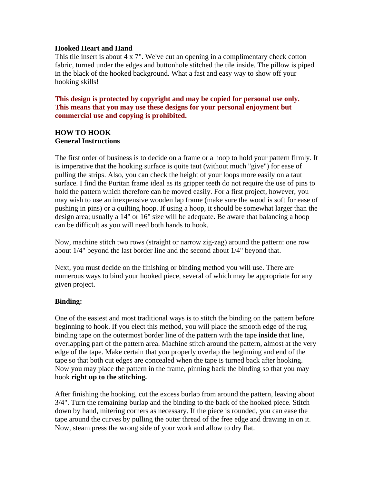#### **Hooked Heart and Hand**

This tile insert is about 4 x 7". We've cut an opening in a complimentary check cotton fabric, turned under the edges and buttonhole stitched the tile inside. The pillow is piped in the black of the hooked background. What a fast and easy way to show off your hooking skills!

**This design is protected by copyright and may be copied for personal use only. This means that you may use these designs for your personal enjoyment but commercial use and copying is prohibited.** 

# **HOW TO HOOK General Instructions**

The first order of business is to decide on a frame or a hoop to hold your pattern firmly. It is imperative that the hooking surface is quite taut (without much "give") for ease of pulling the strips. Also, you can check the height of your loops more easily on a taut surface. I find the Puritan frame ideal as its gripper teeth do not require the use of pins to hold the pattern which therefore can be moved easily. For a first project, however, you may wish to use an inexpensive wooden lap frame (make sure the wood is soft for ease of pushing in pins) or a quilting hoop. If using a hoop, it should be somewhat larger than the design area; usually a 14" or 16" size will be adequate. Be aware that balancing a hoop can be difficult as you will need both hands to hook.

Now, machine stitch two rows (straight or narrow zig-zag) around the pattern: one row about 1/4" beyond the last border line and the second about 1/4" beyond that.

Next, you must decide on the finishing or binding method you will use. There are numerous ways to bind your hooked piece, several of which may be appropriate for any given project.

## **Binding:**

One of the easiest and most traditional ways is to stitch the binding on the pattern before beginning to hook. If you elect this method, you will place the smooth edge of the rug binding tape on the outermost border line of the pattern with the tape **inside** that line, overlapping part of the pattern area. Machine stitch around the pattern, almost at the very edge of the tape. Make certain that you properly overlap the beginning and end of the tape so that both cut edges are concealed when the tape is turned back after hooking. Now you may place the pattern in the frame, pinning back the binding so that you may hook **right up to the stitching.**

After finishing the hooking, cut the excess burlap from around the pattern, leaving about 3/4". Turn the remaining burlap and the binding to the back of the hooked piece. Stitch down by hand, mitering corners as necessary. If the piece is rounded, you can ease the tape around the curves by pulling the outer thread of the free edge and drawing in on it. Now, steam press the wrong side of your work and allow to dry flat.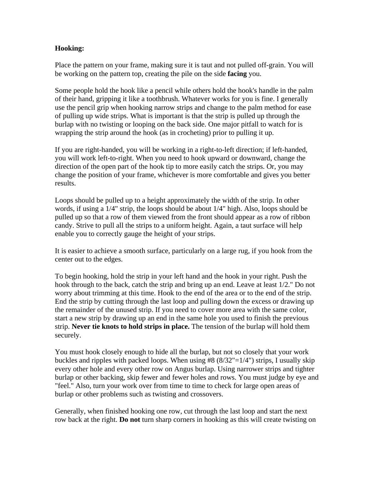### **Hooking:**

Place the pattern on your frame, making sure it is taut and not pulled off-grain. You will be working on the pattern top, creating the pile on the side **facing** you.

Some people hold the hook like a pencil while others hold the hook's handle in the palm of their hand, gripping it like a toothbrush. Whatever works for you is fine. I generally use the pencil grip when hooking narrow strips and change to the palm method for ease of pulling up wide strips. What is important is that the strip is pulled up through the burlap with no twisting or looping on the back side. One major pitfall to watch for is wrapping the strip around the hook (as in crocheting) prior to pulling it up.

If you are right-handed, you will be working in a right-to-left direction; if left-handed, you will work left-to-right. When you need to hook upward or downward, change the direction of the open part of the hook tip to more easily catch the strips. Or, you may change the position of your frame, whichever is more comfortable and gives you better results.

Loops should be pulled up to a height approximately the width of the strip. In other words, if using a 1/4" strip, the loops should be about 1/4" high. Also, loops should be pulled up so that a row of them viewed from the front should appear as a row of ribbon candy. Strive to pull all the strips to a uniform height. Again, a taut surface will help enable you to correctly gauge the height of your strips.

It is easier to achieve a smooth surface, particularly on a large rug, if you hook from the center out to the edges.

To begin hooking, hold the strip in your left hand and the hook in your right. Push the hook through to the back, catch the strip and bring up an end. Leave at least 1/2." Do not worry about trimming at this time. Hook to the end of the area or to the end of the strip. End the strip by cutting through the last loop and pulling down the excess or drawing up the remainder of the unused strip. If you need to cover more area with the same color, start a new strip by drawing up an end in the same hole you used to finish the previous strip. **Never tie knots to hold strips in place.** The tension of the burlap will hold them securely.

You must hook closely enough to hide all the burlap, but not so closely that your work buckles and ripples with packed loops. When using  $#8 (8/32" = 1/4")$  strips, I usually skip every other hole and every other row on Angus burlap. Using narrower strips and tighter burlap or other backing, skip fewer and fewer holes and rows. You must judge by eye and "feel." Also, turn your work over from time to time to check for large open areas of burlap or other problems such as twisting and crossovers.

Generally, when finished hooking one row, cut through the last loop and start the next row back at the right. **Do not** turn sharp corners in hooking as this will create twisting on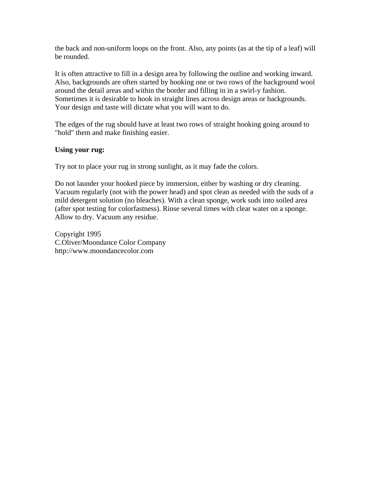the back and non-uniform loops on the front. Also, any points (as at the tip of a leaf) will be rounded.

It is often attractive to fill in a design area by following the outline and working inward. Also, backgrounds are often started by hooking one or two rows of the background wool around the detail areas and within the border and filling in in a swirl-y fashion. Sometimes it is desirable to hook in straight lines across design areas or backgrounds. Your design and taste will dictate what you will want to do.

The edges of the rug should have at least two rows of straight hooking going around to "hold" them and make finishing easier.

#### **Using your rug:**

Try not to place your rug in strong sunlight, as it may fade the colors.

Do not launder your hooked piece by immersion, either by washing or dry cleaning. Vacuum regularly (not with the power head) and spot clean as needed with the suds of a mild detergent solution (no bleaches). With a clean sponge, work suds into soiled area (after spot testing for colorfastness). Rinse several times with clear water on a sponge. Allow to dry. Vacuum any residue.

Copyright 1995 C.Oliver/Moondance Color Company http://www.moondancecolor.com